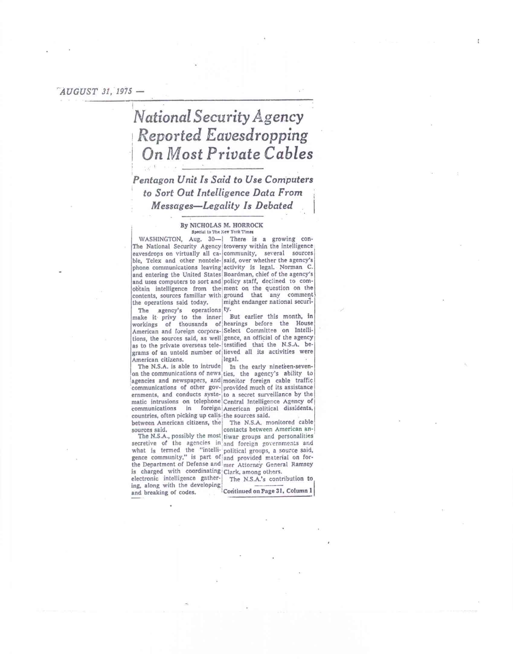### *'AUGUST 31, 1973 -*

# *National Security Agency Reported Eavesdropping*  **I On** *Most Private Cables*

## *Pentagon Unit Is Said to Use Computers to Sort Out Intelligence Data From Messages—Legality Is Debated*

### By NICHOLAS M. HORROCK Special to The New York Times

WASHINGTON, Aug. 30- There is a growing con-The National Security Agency troversy within the intelligence eavesdrops on virtually all ca- community, several sources ble, Telex and other nontele- said, over whether the agency's phone communications leaving activity is legal. Norman C. and entering the United States Boardman, chief of the agency's and uses computers to sort and policy staff, declined to comobtain intelligence from theiment on the question on the contents, sources familiar with:ground that any comment the operations said today. might endanger national securi-

The agency's operations ty. make it privy to the inner But earlier this month, in workings of thousands of hearings before the House American and foreign corpora- Select Committee on Inteilitions, the sources said, as well gence, an official of the agency as to the private overseas tele- testified that the N.S.A. begrams of an untold number of lieved all its activities were<br>American citizens.  $\begin{bmatrix} \text{legal} \end{bmatrix}$ 

American citizens.<br>The N.S.A. is able to intrude on the communications of news ties, the agency's ability to agencies and newspapers, and monitor foreign cable traffic communications of other gov- provided much of its assistance communications in foreign American political dissidents, countries, often picking up calis the sources said. between American citizens, the The N.S.A. monitored cable

is charged with coordinating Clark, among others.<br>electronic intelligence gather- The N.S.A.'s contribution to electronic intelligence gather-<br>ing, along with the developing<br>and breaking of codes. <br>Continued on Page 31, Column 1

In the early nineteen-seven-

ernments, and conducts syste- to a secret surveillance by the matic intrusions on telephone Central Intelligence Agency of

sources said, contacts between American an-The N.S.A., possibly the most tiwar groups and personalities secretive of the agencies in and foreign governments and<br>what is termed the "intelli- political groups, a source-said, gence community," is part of and provided material on forthe Department of Defense and mer Attorney General Ramsey